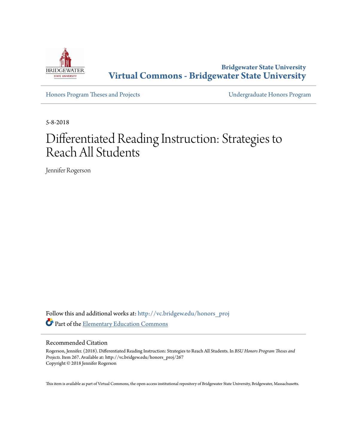

**Bridgewater State University [Virtual Commons - Bridgewater State University](http://vc.bridgew.edu?utm_source=vc.bridgew.edu%2Fhonors_proj%2F267&utm_medium=PDF&utm_campaign=PDFCoverPages)**

[Honors Program Theses and Projects](http://vc.bridgew.edu/honors_proj?utm_source=vc.bridgew.edu%2Fhonors_proj%2F267&utm_medium=PDF&utm_campaign=PDFCoverPages) [Undergraduate Honors Program](http://vc.bridgew.edu/honors?utm_source=vc.bridgew.edu%2Fhonors_proj%2F267&utm_medium=PDF&utm_campaign=PDFCoverPages)

5-8-2018

# Differentiated Reading Instruction: Strategies to Reach All Students

Jennifer Rogerson

Follow this and additional works at: [http://vc.bridgew.edu/honors\\_proj](http://vc.bridgew.edu/honors_proj?utm_source=vc.bridgew.edu%2Fhonors_proj%2F267&utm_medium=PDF&utm_campaign=PDFCoverPages) Part of the [Elementary Education Commons](http://network.bepress.com/hgg/discipline/1378?utm_source=vc.bridgew.edu%2Fhonors_proj%2F267&utm_medium=PDF&utm_campaign=PDFCoverPages)

### Recommended Citation

Rogerson, Jennifer. (2018). Differentiated Reading Instruction: Strategies to Reach All Students. In *BSU Honors Program Theses and Projects.* Item 267. Available at: http://vc.bridgew.edu/honors\_proj/267 Copyright © 2018 Jennifer Rogerson

This item is available as part of Virtual Commons, the open-access institutional repository of Bridgewater State University, Bridgewater, Massachusetts.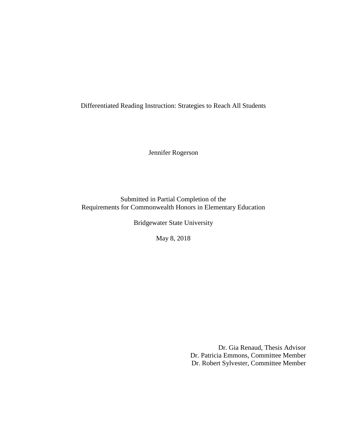Differentiated Reading Instruction: Strategies to Reach All Students

Jennifer Rogerson

Submitted in Partial Completion of the Requirements for Commonwealth Honors in Elementary Education

Bridgewater State University

May 8, 2018

Dr. Gia Renaud, Thesis Advisor Dr. Patricia Emmons, Committee Member Dr. Robert Sylvester, Committee Member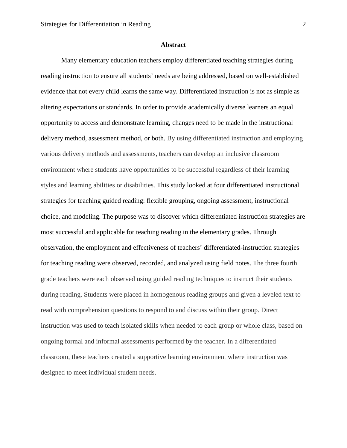### **Abstract**

Many elementary education teachers employ differentiated teaching strategies during reading instruction to ensure all students' needs are being addressed, based on well-established evidence that not every child learns the same way. Differentiated instruction is not as simple as altering expectations or standards. In order to provide academically diverse learners an equal opportunity to access and demonstrate learning, changes need to be made in the instructional delivery method, assessment method, or both. By using differentiated instruction and employing various delivery methods and assessments, teachers can develop an inclusive classroom environment where students have opportunities to be successful regardless of their learning styles and learning abilities or disabilities. This study looked at four differentiated instructional strategies for teaching guided reading: flexible grouping, ongoing assessment, instructional choice, and modeling. The purpose was to discover which differentiated instruction strategies are most successful and applicable for teaching reading in the elementary grades. Through observation, the employment and effectiveness of teachers' differentiated-instruction strategies for teaching reading were observed, recorded, and analyzed using field notes. The three fourth grade teachers were each observed using guided reading techniques to instruct their students during reading. Students were placed in homogenous reading groups and given a leveled text to read with comprehension questions to respond to and discuss within their group. Direct instruction was used to teach isolated skills when needed to each group or whole class, based on ongoing formal and informal assessments performed by the teacher. In a differentiated classroom, these teachers created a supportive learning environment where instruction was designed to meet individual student needs.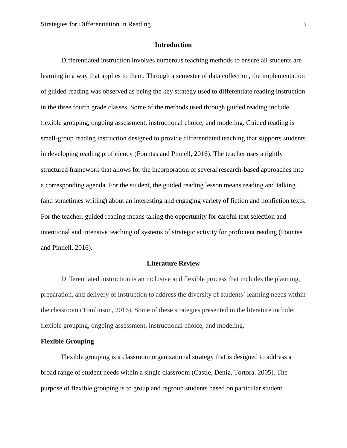## **Introduction**

Differentiated instruction involves numerous teaching methods to ensure all students are learning in a way that applies to them. Through a semester of data collection, the implementation of guided reading was observed as being the key strategy used to differentiate reading instruction in the three fourth grade classes. Some of the methods used through guided reading include flexible grouping, ongoing assessment, instructional choice, and modeling. Guided reading is small-group reading instruction designed to provide differentiated teaching that supports students in developing reading proficiency (Fountas and Pinnell, 2016). The teacher uses a tightly structured framework that allows for the incorporation of several research-based approaches into a corresponding agenda. For the student, the guided reading lesson means reading and talking (and sometimes writing) about an interesting and engaging variety of fiction and nonfiction texts. For the teacher, guided reading means taking the opportunity for careful text selection and intentional and intensive teaching of systems of strategic activity for proficient reading (Fountas and Pinnell, 2016).

#### **Literature Review**

Differentiated instruction is an inclusive and flexible process that includes the planning, preparation, and delivery of instruction to address the diversity of students' learning needs within the classroom (Tomlinson, 2016). Some of these strategies presented in the literature include: flexible grouping, ongoing assessment, instructional choice, and modeling.

## **Flexible Grouping**

Flexible grouping is a classroom organizational strategy that is designed to address a broad range of student needs within a single classroom (Castle, Deniz, Tortora, 2005). The purpose of flexible grouping is to group and regroup students based on particular student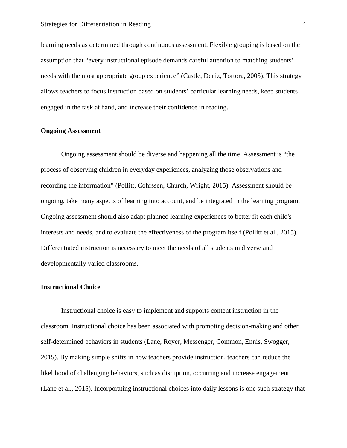learning needs as determined through continuous assessment. Flexible grouping is based on the assumption that "every instructional episode demands careful attention to matching students' needs with the most appropriate group experience" (Castle, Deniz, Tortora, 2005). This strategy allows teachers to focus instruction based on students' particular learning needs, keep students engaged in the task at hand, and increase their confidence in reading.

## **Ongoing Assessment**

Ongoing assessment should be diverse and happening all the time. Assessment is "the process of observing children in everyday experiences, analyzing those observations and recording the information" (Pollitt, Cohrssen, Church, Wright, 2015). Assessment should be ongoing, take many aspects of learning into account, and be integrated in the learning program. Ongoing assessment should also adapt planned learning experiences to better fit each child's interests and needs, and to evaluate the effectiveness of the program itself (Pollitt et al., 2015). Differentiated instruction is necessary to meet the needs of all students in diverse and developmentally varied classrooms.

## **Instructional Choice**

Instructional choice is easy to implement and supports content instruction in the classroom. Instructional choice has been associated with promoting decision-making and other self-determined behaviors in students (Lane, Royer, Messenger, Common, Ennis, Swogger, 2015). By making simple shifts in how teachers provide instruction, teachers can reduce the likelihood of challenging behaviors, such as disruption, occurring and increase engagement (Lane et al., 2015). Incorporating instructional choices into daily lessons is one such strategy that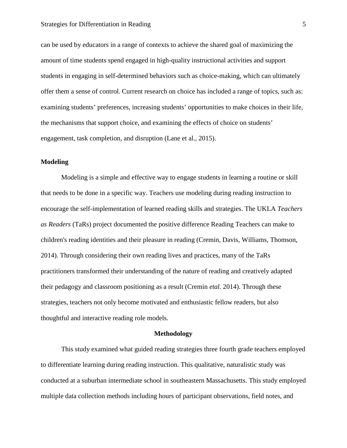can be used by educators in a range of contexts to achieve the shared goal of maximizing the amount of time students spend engaged in high-quality instructional activities and support students in engaging in self-determined behaviors such as choice-making, which can ultimately offer them a sense of control. Current research on choice has included a range of topics, such as: examining students' preferences, increasing students' opportunities to make choices in their life, the mechanisms that support choice, and examining the effects of choice on students' engagement, task completion, and disruption (Lane et al., 2015).

## **Modeling**

Modeling is a simple and effective way to engage students in learning a routine or skill that needs to be done in a specific way. Teachers use modeling during reading instruction to encourage the self-implementation of learned reading skills and strategies. The UKLA *Teachers as Readers* (TaRs) project documented the positive difference Reading Teachers can make to children's reading identities and their pleasure in reading (Cremin, Davis, Williams, Thomson, 2014). Through considering their own reading lives and practices, many of the TaRs practitioners transformed their understanding of the nature of reading and creatively adapted their pedagogy and classroom positioning as a result (Cremin *etal.* 2014). Through these strategies, teachers not only become motivated and enthusiastic fellow readers, but also thoughtful and interactive reading role models.

#### **Methodology**

This study examined what guided reading strategies three fourth grade teachers employed to differentiate learning during reading instruction. This qualitative, naturalistic study was conducted at a suburban intermediate school in southeastern Massachusetts. This study employed multiple data collection methods including hours of participant observations, field notes, and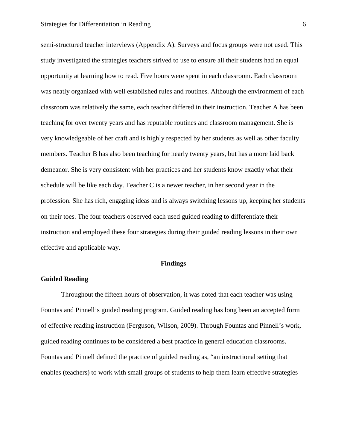semi-structured teacher interviews (Appendix A). Surveys and focus groups were not used. This study investigated the strategies teachers strived to use to ensure all their students had an equal opportunity at learning how to read. Five hours were spent in each classroom. Each classroom was neatly organized with well established rules and routines. Although the environment of each classroom was relatively the same, each teacher differed in their instruction. Teacher A has been teaching for over twenty years and has reputable routines and classroom management. She is very knowledgeable of her craft and is highly respected by her students as well as other faculty members. Teacher B has also been teaching for nearly twenty years, but has a more laid back demeanor. She is very consistent with her practices and her students know exactly what their schedule will be like each day. Teacher C is a newer teacher, in her second year in the profession. She has rich, engaging ideas and is always switching lessons up, keeping her students on their toes. The four teachers observed each used guided reading to differentiate their instruction and employed these four strategies during their guided reading lessons in their own effective and applicable way.

#### **Findings**

## **Guided Reading**

Throughout the fifteen hours of observation, it was noted that each teacher was using Fountas and Pinnell's guided reading program. Guided reading has long been an accepted form of effective reading instruction (Ferguson, Wilson, 2009). Through Fountas and Pinnell's work, guided reading continues to be considered a best practice in general education classrooms. Fountas and Pinnell defined the practice of guided reading as, "an instructional setting that enables (teachers) to work with small groups of students to help them learn effective strategies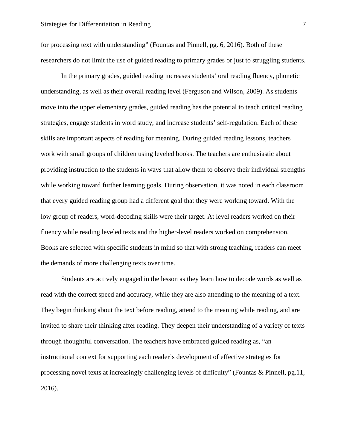for processing text with understanding" (Fountas and Pinnell, pg. 6, 2016). Both of these researchers do not limit the use of guided reading to primary grades or just to struggling students.

In the primary grades, guided reading increases students' oral reading fluency, phonetic understanding, as well as their overall reading level (Ferguson and Wilson, 2009). As students move into the upper elementary grades, guided reading has the potential to teach critical reading strategies, engage students in word study, and increase students' self-regulation. Each of these skills are important aspects of reading for meaning. During guided reading lessons, teachers work with small groups of children using leveled books. The teachers are enthusiastic about providing instruction to the students in ways that allow them to observe their individual strengths while working toward further learning goals. During observation, it was noted in each classroom that every guided reading group had a different goal that they were working toward. With the low group of readers, word-decoding skills were their target. At level readers worked on their fluency while reading leveled texts and the higher-level readers worked on comprehension. Books are selected with specific students in mind so that with strong teaching, readers can meet the demands of more challenging texts over time.

Students are actively engaged in the lesson as they learn how to decode words as well as read with the correct speed and accuracy, while they are also attending to the meaning of a text. They begin thinking about the text before reading, attend to the meaning while reading, and are invited to share their thinking after reading. They deepen their understanding of a variety of texts through thoughtful conversation. The teachers have embraced guided reading as, "an instructional context for supporting each reader's development of effective strategies for processing novel texts at increasingly challenging levels of difficulty" (Fountas & Pinnell, pg.11, 2016).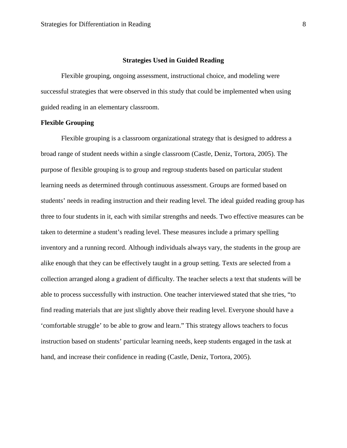## **Strategies Used in Guided Reading**

Flexible grouping, ongoing assessment, instructional choice, and modeling were successful strategies that were observed in this study that could be implemented when using guided reading in an elementary classroom.

## **Flexible Grouping**

Flexible grouping is a classroom organizational strategy that is designed to address a broad range of student needs within a single classroom (Castle, Deniz, Tortora, 2005). The purpose of flexible grouping is to group and regroup students based on particular student learning needs as determined through continuous assessment. Groups are formed based on students' needs in reading instruction and their reading level. The ideal guided reading group has three to four students in it, each with similar strengths and needs. Two effective measures can be taken to determine a student's reading level. These measures include a primary spelling inventory and a running record. Although individuals always vary, the students in the group are alike enough that they can be effectively taught in a group setting. Texts are selected from a collection arranged along a gradient of difficulty. The teacher selects a text that students will be able to process successfully with instruction. One teacher interviewed stated that she tries, "to find reading materials that are just slightly above their reading level. Everyone should have a 'comfortable struggle' to be able to grow and learn." This strategy allows teachers to focus instruction based on students' particular learning needs, keep students engaged in the task at hand, and increase their confidence in reading (Castle, Deniz, Tortora, 2005).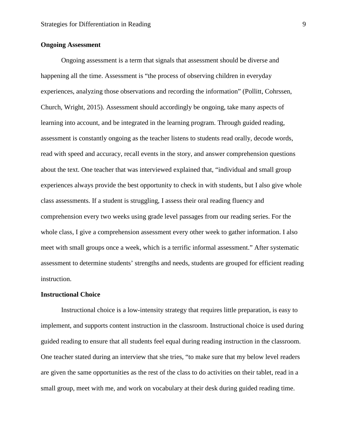## **Ongoing Assessment**

Ongoing assessment is a term that signals that assessment should be diverse and happening all the time. Assessment is "the process of observing children in everyday experiences, analyzing those observations and recording the information" (Pollitt, Cohrssen, Church, Wright, 2015). Assessment should accordingly be ongoing, take many aspects of learning into account, and be integrated in the learning program. Through guided reading, assessment is constantly ongoing as the teacher listens to students read orally, decode words, read with speed and accuracy, recall events in the story, and answer comprehension questions about the text. One teacher that was interviewed explained that, "individual and small group experiences always provide the best opportunity to check in with students, but I also give whole class assessments. If a student is struggling, I assess their oral reading fluency and comprehension every two weeks using grade level passages from our reading series. For the whole class, I give a comprehension assessment every other week to gather information. I also meet with small groups once a week, which is a terrific informal assessment." After systematic assessment to determine students' strengths and needs, students are grouped for efficient reading instruction.

## **Instructional Choice**

Instructional choice is a low-intensity strategy that requires little preparation, is easy to implement, and supports content instruction in the classroom. Instructional choice is used during guided reading to ensure that all students feel equal during reading instruction in the classroom. One teacher stated during an interview that she tries, "to make sure that my below level readers are given the same opportunities as the rest of the class to do activities on their tablet, read in a small group, meet with me, and work on vocabulary at their desk during guided reading time.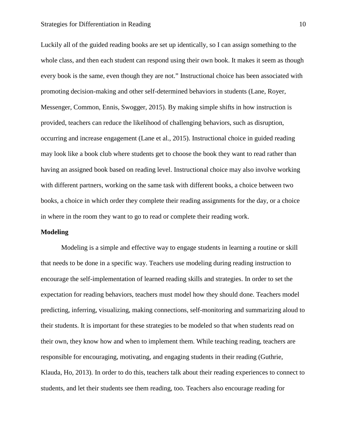Luckily all of the guided reading books are set up identically, so I can assign something to the whole class, and then each student can respond using their own book. It makes it seem as though every book is the same, even though they are not." Instructional choice has been associated with promoting decision-making and other self-determined behaviors in students (Lane, Royer, Messenger, Common, Ennis, Swogger, 2015). By making simple shifts in how instruction is provided, teachers can reduce the likelihood of challenging behaviors, such as disruption, occurring and increase engagement (Lane et al., 2015). Instructional choice in guided reading may look like a book club where students get to choose the book they want to read rather than having an assigned book based on reading level. Instructional choice may also involve working with different partners, working on the same task with different books, a choice between two books, a choice in which order they complete their reading assignments for the day, or a choice in where in the room they want to go to read or complete their reading work.

## **Modeling**

Modeling is a simple and effective way to engage students in learning a routine or skill that needs to be done in a specific way. Teachers use modeling during reading instruction to encourage the self-implementation of learned reading skills and strategies. In order to set the expectation for reading behaviors, teachers must model how they should done. Teachers model predicting, inferring, visualizing, making connections, self-monitoring and summarizing aloud to their students. It is important for these strategies to be modeled so that when students read on their own, they know how and when to implement them. While teaching reading, teachers are responsible for encouraging, motivating, and engaging students in their reading (Guthrie, Klauda, Ho, 2013). In order to do this, teachers talk about their reading experiences to connect to students, and let their students see them reading, too. Teachers also encourage reading for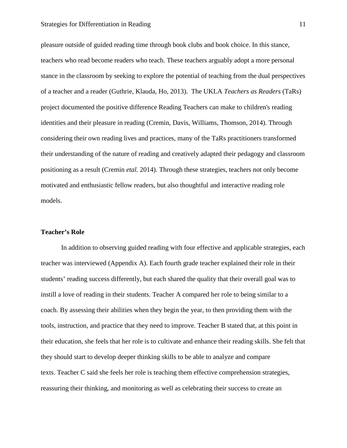pleasure outside of guided reading time through book clubs and book choice. In this stance, teachers who read become readers who teach. These teachers arguably adopt a more personal stance in the classroom by seeking to explore the potential of teaching from the dual perspectives of a teacher and a reader (Guthrie, Klauda, Ho, 2013). The UKLA *Teachers as Readers* (TaRs) project documented the positive difference Reading Teachers can make to children's reading identities and their pleasure in reading (Cremin, Davis, Williams, Thomson, 2014). Through considering their own reading lives and practices, many of the TaRs practitioners transformed their understanding of the nature of reading and creatively adapted their pedagogy and classroom positioning as a result (Cremin *etal.* 2014). Through these strategies, teachers not only become motivated and enthusiastic fellow readers, but also thoughtful and interactive reading role models.

## **Teacher's Role**

In addition to observing guided reading with four effective and applicable strategies, each teacher was interviewed (Appendix A). Each fourth grade teacher explained their role in their students' reading success differently, but each shared the quality that their overall goal was to instill a love of reading in their students. Teacher A compared her role to being similar to a coach. By assessing their abilities when they begin the year, to then providing them with the tools, instruction, and practice that they need to improve. Teacher B stated that, at this point in their education, she feels that her role is to cultivate and enhance their reading skills. She felt that they should start to develop deeper thinking skills to be able to analyze and compare texts. Teacher C said she feels her role is teaching them effective comprehension strategies, reassuring their thinking, and monitoring as well as celebrating their success to create an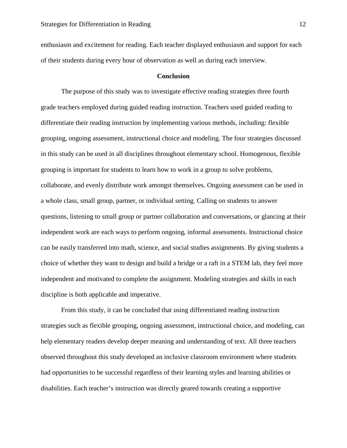enthusiasm and excitement for reading. Each teacher displayed enthusiasm and support for each of their students during every hour of observation as well as during each interview.

## **Conclusion**

The purpose of this study was to investigate effective reading strategies three fourth grade teachers employed during guided reading instruction. Teachers used guided reading to differentiate their reading instruction by implementing various methods, including: flexible grouping, ongoing assessment, instructional choice and modeling. The four strategies discussed in this study can be used in all disciplines throughout elementary school. Homogenous, flexible grouping is important for students to learn how to work in a group to solve problems, collaborate, and evenly distribute work amongst themselves. Ongoing assessment can be used in a whole class, small group, partner, or individual setting. Calling on students to answer questions, listening to small group or partner collaboration and conversations, or glancing at their independent work are each ways to perform ongoing, informal assessments. Instructional choice can be easily transferred into math, science, and social studies assignments. By giving students a choice of whether they want to design and build a bridge or a raft in a STEM lab, they feel more independent and motivated to complete the assignment. Modeling strategies and skills in each discipline is both applicable and imperative.

From this study, it can be concluded that using differentiated reading instruction strategies such as flexible grouping, ongoing assessment, instructional choice, and modeling, can help elementary readers develop deeper meaning and understanding of text. All three teachers observed throughout this study developed an inclusive classroom environment where students had opportunities to be successful regardless of their learning styles and learning abilities or disabilities. Each teacher's instruction was directly geared towards creating a supportive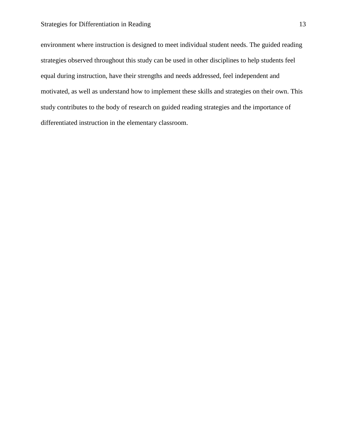environment where instruction is designed to meet individual student needs. The guided reading strategies observed throughout this study can be used in other disciplines to help students feel equal during instruction, have their strengths and needs addressed, feel independent and motivated, as well as understand how to implement these skills and strategies on their own. This study contributes to the body of research on guided reading strategies and the importance of differentiated instruction in the elementary classroom.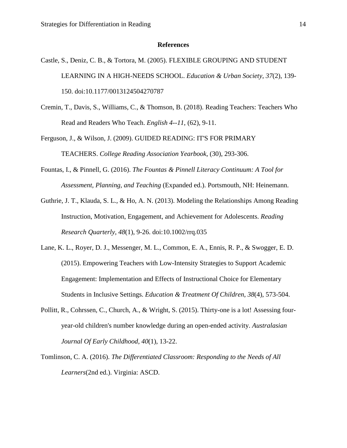#### **References**

- Castle, S., Deniz, C. B., & Tortora, M. (2005). FLEXIBLE GROUPING AND STUDENT LEARNING IN A HIGH-NEEDS SCHOOL. *Education & Urban Society*, *37*(2), 139- 150. doi:10.1177/0013124504270787
- Cremin, T., Davis, S., Williams, C., & Thomson, B. (2018). Reading Teachers: Teachers Who Read and Readers Who Teach. *English 4--11*, (62), 9-11.
- Ferguson, J., & Wilson, J. (2009). GUIDED READING: IT'S FOR PRIMARY TEACHERS. *College Reading Association Yearbook*, (30), 293-306.
- Fountas, I., & Pinnell, G. (2016). *The Fountas & Pinnell Literacy Continuum: A Tool for Assessment, Planning, and Teaching* (Expanded ed.). Portsmouth, NH: Heinemann.
- Guthrie, J. T., Klauda, S. L., & Ho, A. N. (2013). Modeling the Relationships Among Reading Instruction, Motivation, Engagement, and Achievement for Adolescents. *Reading Research Quarterly*, *48*(1), 9-26. doi:10.1002/rrq.035
- Lane, K. L., Royer, D. J., Messenger, M. L., Common, E. A., Ennis, R. P., & Swogger, E. D. (2015). Empowering Teachers with Low-Intensity Strategies to Support Academic Engagement: Implementation and Effects of Instructional Choice for Elementary Students in Inclusive Settings. *Education & Treatment Of Children*, *38*(4), 573-504.
- Pollitt, R., Cohrssen, C., Church, A., & Wright, S. (2015). Thirty-one is a lot! Assessing fouryear-old children's number knowledge during an open-ended activity. *Australasian Journal Of Early Childhood*, *40*(1), 13-22.
- Tomlinson, C. A. (2016). *The Differentiated Classroom: Responding to the Needs of All Learners*(2nd ed.). Virginia: ASCD.